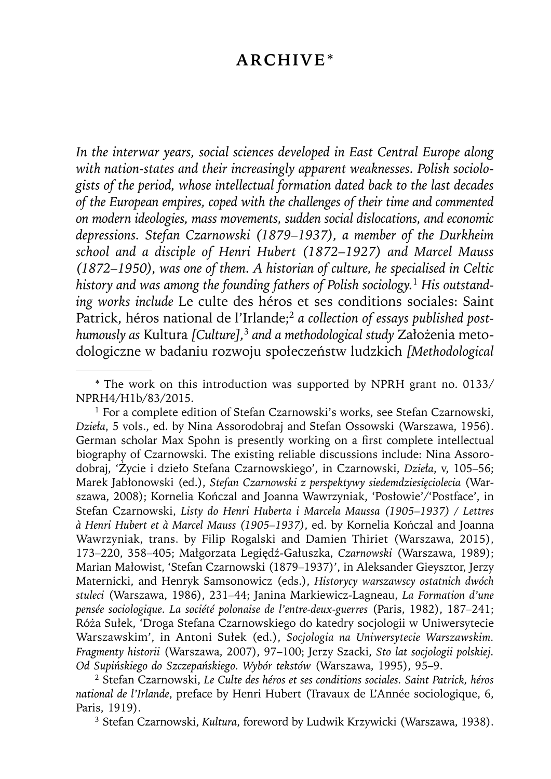## **ARCHIVE**\*

*In the interwar years, social sciences developed in East Central Europe along with nation-states and their increasingly apparent weaknesses. Polish sociologists of the period, whose intellectual formation dated back to the last decades*  of the European empires, coped with the challenges of their time and commented *on modern ideologies, mass movements, sudden social dislocations, and economic depressions. Stefan Czarnowski (1879–1937), a member of the Durkheim school and a disciple of Henri Hubert (1872–1927) and Marcel Mauss (1872–1950), was one of them. A historian of culture, he specialised in Celtic history and was among the founding fathers of Polish sociology.*1 *His outstanding works include* Le culte des héros et ses conditions sociales: Saint Patrick, héros national de l'Irlande;<sup>2</sup> a collection of essays published post*humously as* Kultura *[Culture],*<sup>3</sup> *and a methodological study* Założenia metodologiczne w badaniu rozwoju społeczeństw ludzkich *[ Methodological* 

2 Stefan Czarnowski, *Le Culte des héros et ses conditions sociales. Saint Patrick, héros national de l'Irlande*, preface by Henri Hubert (Travaux de L'Année sociologique, 6, Paris, 1919).

3 Stefan Czarnowski, *Kultura*, foreword by Ludwik Krzywicki (Warszawa, 1938).

<sup>\*</sup> The work on this introduction was supported by NPRH grant no. 0133/ NPRH4/H1b/83/2015.

<sup>&</sup>lt;sup>1</sup> For a complete edition of Stefan Czarnowski's works, see Stefan Czarnowski, *Dzieła*, 5 vols., ed. by Nina Assorodobraj and Stefan Ossowski (Warszawa, 1956). German scholar Max Spohn is presently working on a first complete intellectual biography of Czarnowski. The existing reliable discussions include: Nina Assorodobraj, 'Życie i dzieło Stefana Czarnowskiego', in Czarnowski, *Dzieła*, v, 105–56; Marek Jabłonowski (ed.), *Stefan Czarnowski z perspektywy siedemdziesięciolecia* (Warszawa, 2008); Kornelia Kończal and Joanna Wawrzyniak, 'Posłowie'/'Postface', in Stefan Czarnowski, *Listy do Henri Huberta i Marcela Maussa (1905–1937) / Lettres à Henri Hubert et à Marcel Mauss (1905–1937)*, ed. by Kornelia Kończal and Joanna Wawrzyniak, trans. by Filip Rogalski and Damien Thiriet (Warszawa, 2015), 173–220, 358–405; Małgorzata Legiędź-Gałuszka, *Czarnowski* (Warszawa, 1989); Marian Małowist, 'Stefan Czarnowski (1879–1937)', in Aleksander Gieysztor, Jerzy Maternicki, and Henryk Samsonowicz (eds.), *Historycy warszawscy ostatnich dwóch stuleci* (Warszawa, 1986), 231–44; Janina Markiewicz-Lagneau, *La Formation d'une pensée sociologique. La société polonaise de l'entre-deux-guerres* (Paris, 1982), 187–241; Róża Sułek, 'Droga Stefana Czarnowskiego do katedry socjologii w Uniwersytecie Warszawskim', in Antoni Sułek (ed.), *Socjologia na Uniwersytecie Warszawskim. Fragmenty historii* (Warszawa, 2007), 97–100; Jerzy Szacki, *Sto lat socjologii polskiej. Od Supińskiego do Szczepańskiego. Wybór tekstów* (Warszawa, 1995), 95–9.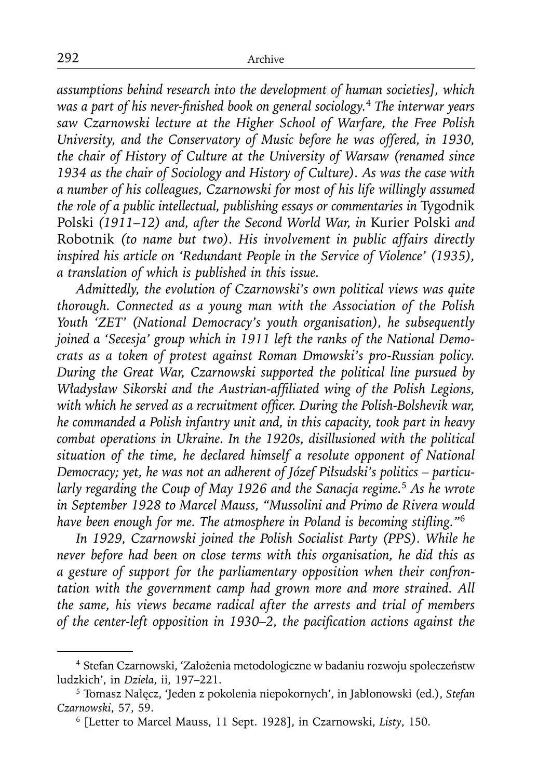*assumptions behind research into the development of human societies], which was a part of his never-finished book on general sociology.<sup>4</sup> The interwar years saw Czarnowski lecture at the Higher School of Warfare, the Free Polish University, and the Conservatory of Music before he was offered, in 1930, the chair of History of Culture at the University of Warsaw (renamed since 1934 as the chair of Sociology and History of Culture). As was the case with a number of his colleagues, Czarnowski for most of his life willingly assumed the role of a public intellectual, publishing essays or commentaries in* Tygodnik Polski *(1911–12) and, after the Second World War, in* Kurier Polski *and*  Robotnik *(to name but two). His involvement in public affairs directly inspired his article on 'Redundant People in the Service of Violence' (1935), a translation of which is published in this issue.*

*Admittedly, the evolution of Czarnowski's own political views was quite thorough. Connected as a young man with the Association of the Polish Youth 'ZET' (National Democracy's youth organisation), he subsequently joined a 'Secesja' group which in 1911 left the ranks of the National Democrats as a token of protest against Roman Dmowski's pro-Russian policy. During the Great War, Czarnowski supported the political line pursued by Władysław Sikorski and the Austrian-affiliated wing of the Polish Legions,* with which he served as a recruitment officer. During the Polish-Bolshevik war, *he commanded a Polish infantry unit and, in this capacity, took part in heavy combat operations in Ukraine. In the 1920s, disillusioned with the political situation of the time, he declared himself a resolute opponent of National Democracy; yet, he was not an adherent of Józef Piłsudski's politics – particularly regarding the Coup of May 1926 and the Sanacja regime.*<sup>5</sup> *As he wrote in September 1928 to Marcel Mauss, "Mussolini and Primo de Rivera would*  have been enough for me. The atmosphere in Poland is becoming stifling."<sup>6</sup>

*In 1929, Czarnowski joined the Polish Socialist Party (PPS). While he never before had been on close terms with this organisation, he did this as a gesture of support for the parliamentary opposition when their confrontation with the government camp had grown more and more strained. All the same, his views became radical after the arrests and trial of members of the center-left opposition in 1930–2, the pacification actions against the* 

<sup>4</sup> Stefan Czarnowski, 'Założenia metodologiczne w badaniu rozwoju społeczeństw ludzkich', in *Dzieła*, ii, 197–221.

<sup>5</sup> Tomasz Nałęcz, 'Jeden z pokolenia niepokornych', in Jabłonowski (ed.), *Stefan Czarnowski*, 57, 59.

<sup>6 [</sup>Letter to Marcel Mauss, 11 Sept. 1928], in Czarnowski, *Listy*, 150.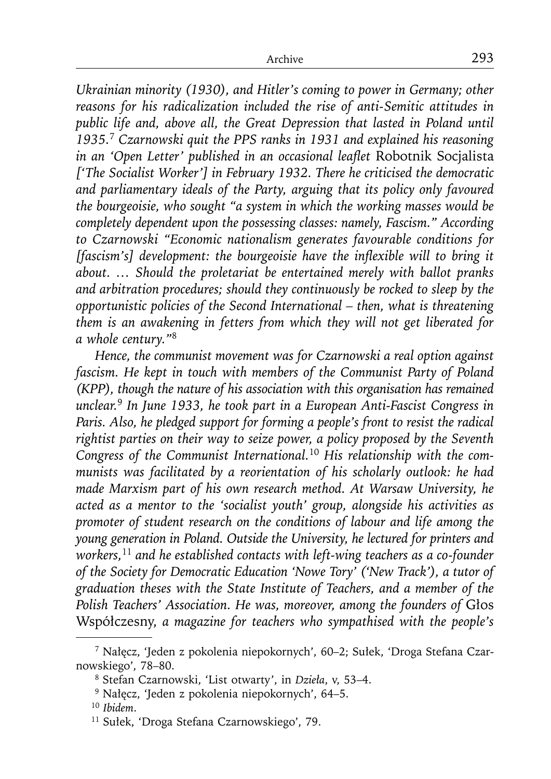*Ukrainian minority (1930), and Hitler's coming to power in Germany; other reasons for his radicalization included the rise of anti-Semitic attitudes in*  public life and, above all, the Great Depression that lasted in Poland until *1935.*<sup>7</sup> *Czarnowski quit the PPS ranks in 1931 and explained his reasoning in an 'Open Letter' published in an occasional leaflet Robotnik Socjalista ['The Socialist Worker'] in February 1932. There he criticised the democratic and parliamentary ideals of the Party, arguing that its policy only favoured the bourgeoisie, who sought "a system in which the working masses would be completely dependent upon the possessing classes: namely, Fascism." According to Czarnowski "Economic nationalism generates favourable conditions for [fascism's] development: the bourgeoisie have the inflexible will to bring it about. … Should the proletariat be entertained merely with ballot pranks and arbitration procedures; should they continuously be rocked to sleep by the opportunistic policies of the Second International – then, what is threatening them is an awakening in fetters from which they will not get liberated for a whole century."*<sup>8</sup>

*Hence, the communist movement was for Czarnowski a real option against fascism. He kept in touch with members of the Communist Party of Poland (KPP), though the nature of his association with this organisation has remained unclear.*<sup>9</sup> *In June 1933, he took part in a European Anti-Fascist Congress in Paris. Also, he pledged support for forming a people's front to resist the radical rightist parties on their way to seize power, a policy proposed by the Seventh Congress of the Communist International.*10 *His relationship with the communists was facilitated by a reorientation of his scholarly outlook: he had made Marxism part of his own research method. At Warsaw University, he acted as a mentor to the 'socialist youth' group, alongside his activities as promoter of student research on the conditions of labour and life among the young generation in Poland. Outside the University, he lectured for printers and workers,*<sup>11</sup> *and he established contacts with left-wing teachers as a co-founder of the Society for Democratic Education 'Nowe Tory' ('New Track'), a tutor of graduation theses with the State Institute of Teachers, and a member of the Polish Teachers' Association. He was, moreover, among the founders of* Głos Współczesny, *a magazine for teachers who sympathised with the people's* 

<sup>7</sup> Nałęcz, 'Jeden z pokolenia niepokornych', 60–2; Sułek, 'Droga Stefana Czarnowskiego', 78–80.

<sup>8</sup> Stefan Czarnowski, 'List otwarty', in *Dzieła*, v, 53–4.

<sup>9</sup> Nałęcz, 'Jeden z pokolenia niepokornych', 64–5.

<sup>10</sup>*Ibidem*.

<sup>11</sup> Sułek, 'Droga Stefana Czarnowskiego', 79.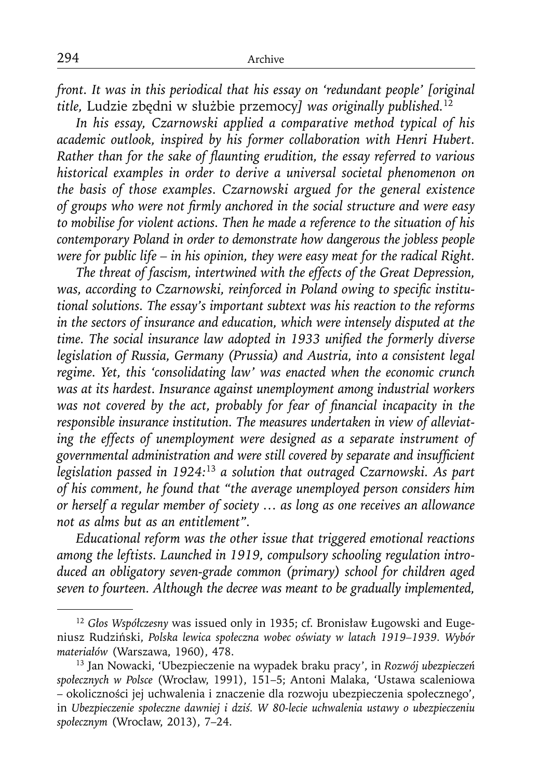*front. It was in this periodical that his essay on 'redundant people' [original title,* Ludzie zbędni w służbie przemocy*] was originally published.*<sup>12</sup>

*In his essay, Czarnowski applied a comparative method typical of his academic outlook, inspired by his former collaboration with Henri Hubert. Rather than for the sake of flaunting erudition, the essay referred to various historical examples in order to derive a universal societal phenomenon on the basis of those examples. Czarnowski argued for the general existence*  of groups who were not firmly anchored in the social structure and were easy *to mobilise for violent actions. Then he made a reference to the situation of his contemporary Poland in order to demonstrate how dangerous the jobless people were for public life – in his opinion, they were easy meat for the radical Right.*

*The threat of fascism, intertwined with the effects of the Great Depression,*  was, according to Czarnowski, reinforced in Poland owing to specific institu*tional solutions. The essay's important subtext was his reaction to the reforms in the sectors of insurance and education, which were intensely disputed at the*  time. The social insurance law adopted in 1933 unified the formerly diverse *legislation of Russia, Germany (Prussia) and Austria, into a consistent legal regime. Yet, this 'consolidating law' was enacted when the economic crunch was at its hardest. Insurance against unemployment among industrial workers was not covered by the act, probably for fear of financial incapacity in the responsible insurance institution. The measures undertaken in view of alleviating the effects of unemployment were designed as a separate instrument of*  governmental administration and were still covered by separate and insufficient *legislation passed in 1924:*<sup>13</sup> *a solution that outraged Czarnowski. As part of his comment, he found that "the average unemployed person considers him or herself a regular member of society … as long as one receives an allowance not as alms but as an entitlement".*

*Educational reform was the other issue that triggered emotional reactions among the leftists. Launched in 1919, compulsory schooling regulation introduced an obligatory seven-grade common (primary) school for children aged seven to fourteen. Although the decree was meant to be gradually implemented,* 

<sup>12</sup> *Głos Współczesny* was issued only in 1935; cf. Bronisław Ługowski and Eugeniusz Rudziński, *Polska lewica społeczna wobec oświaty w latach 1919–1939. Wybór materiałów* (Warszawa, 1960), 478.

<sup>13</sup> Jan Nowacki, 'Ubezpieczenie na wypadek braku pracy', in *Rozwój ubezpieczeń społecznych w Polsce* (Wrocław, 1991), 151–5; Antoni Malaka, 'Ustawa scaleniowa – okoliczności jej uchwalenia i znaczenie dla rozwoju ubezpieczenia społecznego', in *Ubezpieczenie społeczne dawniej i dziś. W 80-lecie uchwalenia ustawy o ubezpieczeniu społecznym* (Wrocław, 2013), 7–24.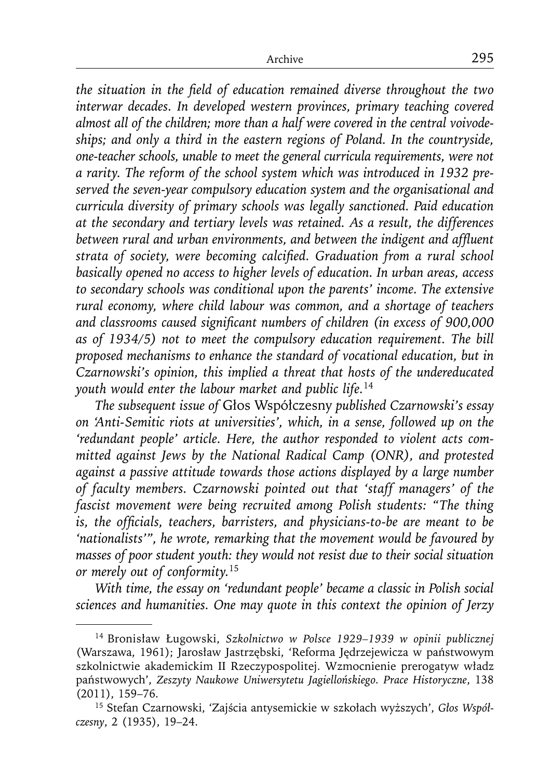the situation in the field of education remained diverse throughout the two *interwar decades. In developed western provinces, primary teaching covered almost all of the children; more than a half were covered in the central voivodeships; and only a third in the eastern regions of Poland. In the countryside, one-teacher schools, unable to meet the general curricula requirements, were not a rarity. The reform of the school system which was introduced in 1932 preserved the seven-year compulsory education system and the organisational and curricula diversity of primary schools was legally sanctioned. Paid education at the secondary and tertiary levels was retained. As a result, the differences*  between rural and urban environments, and between the indigent and affluent strata of society, were becoming calcified. Graduation from a rural school *basically opened no access to higher levels of education. In urban areas, access to secondary schools was conditional upon the parents' income. The extensive rural economy, where child labour was common, and a shortage of teachers*  and classrooms caused significant numbers of children (in excess of 900,000 *as of 1934/5) not to meet the compulsory education requirement. The bill proposed mechanisms to enhance the standard of vocational education, but in Czarnowski's opinion, this implied a threat that hosts of the undereducated youth would enter the labour market and public life.*<sup>14</sup>

*The subsequent issue of* Głos Współczesny *published Czarnowski's essay on 'Anti-Semitic riots at universities', which, in a sense, followed up on the 'redundant people' article. Here, the author responded to violent acts committed against Jews by the National Radical Camp (ONR), and protested against a passive attitude towards those actions displayed by a large number of faculty members. Czarnowski pointed out that 'staff managers' of the fascist movement were being recruited among Polish students: "The thing is, the officials, teachers, barristers, and physicians-to-be are meant to be 'nationalists'", he wrote, remarking that the movement would be favoured by masses of poor student youth: they would not resist due to their social situation or merely out of conformity.*<sup>15</sup>

*With time, the essay on 'redundant people' became a classic in Polish social sciences and humanities. One may quote in this context the opinion of Jerzy* 

<sup>14</sup> Bronisław Ługowski, *Szkolnictwo w Polsce 1929–1939 w opinii publicznej* (Warszawa, 1961); Jarosław Jastrzębski, 'Reforma Jędrzejewicza w państwowym szkolnictwie akademickim II Rzeczypospolitej. Wzmocnienie prerogatyw władz państwowych', *Zeszyty Naukowe Uniwersytetu Jagiellońskiego. Prace Historyczne*, 138 (2011), 159–76.

<sup>15</sup> Stefan Czarnowski, 'Zajścia antysemickie w szkołach wyższych', *Głos Współczesny*, 2 (1935), 19–24.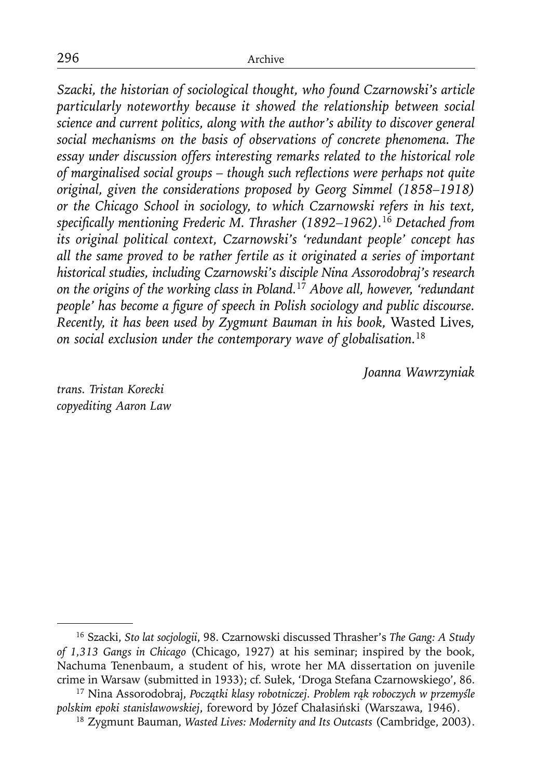*Szacki, the historian of sociological thought, who found Czarnowski's article particularly noteworthy because it showed the relationship between social science and current politics, along with the author's ability to discover general social mechanisms on the basis of observations of concrete phenomena. The essay under discussion offers interesting remarks related to the historical role*  of marginalised social groups - though such reflections were perhaps not quite *original, given the considerations proposed by Georg Simmel (1858–1918) or the Chicago School in sociology, to which Czarnowski refers in his text, specifi cally mentioning Frederic M. Thrasher (1892–1962).*<sup>16</sup> *Detached from its original political context, Czarnowski's 'redundant people' concept has all the same proved to be rather fertile as it originated a series of important historical studies, including Czarnowski's disciple Nina Assorodobraj's research on the origins of the working class in Poland.*<sup>17</sup> *Above all, however, 'redundant people' has become a figure of speech in Polish sociology and public discourse. Recently, it has been used by Zygmunt Bauman in his book,* Wasted Lives*, on social exclusion under the contemporary wave of globalisation.*<sup>18</sup>

*Joanna Wawrzyniak*

*trans. Tristan Korecki copyediting Aaron Law*

<sup>16</sup> Szacki, *Sto lat socjologii*, 98. Czarnowski discussed Thrasher's *The Gang: A Study of 1,313 Gangs in Chicago* (Chicago, 1927) at his seminar; inspired by the book, Nachuma Tenenbaum, a student of his, wrote her MA dissertation on juvenile crime in Warsaw (submitted in 1933); cf. Sułek, 'Droga Stefana Czarnowskiego', 86.

<sup>17</sup> Nina Assorodobraj, *Początki klasy robotniczej. Problem rąk roboczych w przemyśle polskim epoki stanisławowskiej*, foreword by Józef Chałasiński (Warszawa, 1946).

<sup>18</sup> Zygmunt Bauman, *Wasted Lives: Modernity and Its Outcasts* (Cambridge, 2003).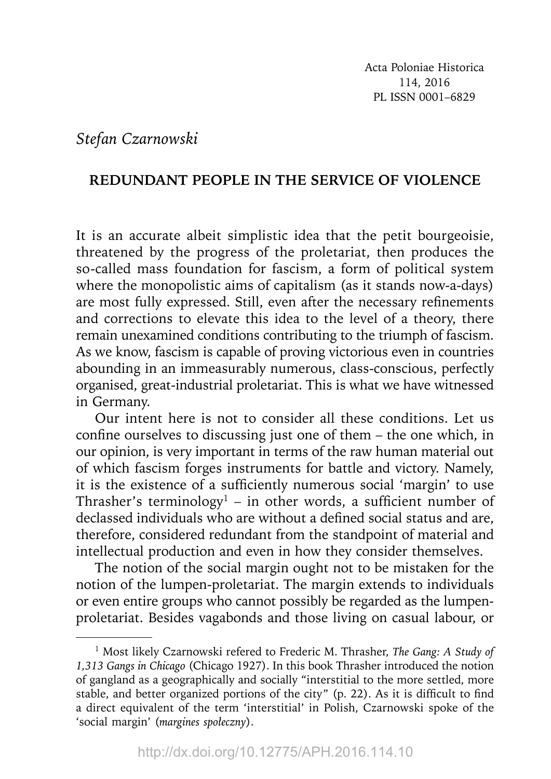## *Stefan Czarnowski*

## **REDUNDANT PEOPLE IN THE SERVICE OF VIOLENCE**

It is an accurate albeit simplistic idea that the petit bourgeoisie, threatened by the progress of the proletariat, then produces the so-called mass foundation for fascism, a form of political system where the monopolistic aims of capitalism (as it stands now-a-days) are most fully expressed. Still, even after the necessary refinements and corrections to elevate this idea to the level of a theory, there remain unexamined conditions contributing to the triumph of fascism. As we know, fascism is capable of proving victorious even in countries abounding in an immeasurably numerous, class-conscious, perfectly organised, great-industrial proletariat. This is what we have witnessed in Germany.

Our intent here is not to consider all these conditions. Let us confine ourselves to discussing just one of them  $-$  the one which, in our opinion, is very important in terms of the raw human material out of which fascism forges instruments for battle and victory. Namely, it is the existence of a sufficiently numerous social 'margin' to use Thrasher's terminology<sup>1</sup> – in other words, a sufficient number of declassed individuals who are without a defined social status and are, therefore, considered redundant from the standpoint of material and intellectual production and even in how they consider themselves.

The notion of the social margin ought not to be mistaken for the notion of the lumpen-proletariat. The margin extends to individuals or even entire groups who cannot possibly be regarded as the lumpenproletariat. Besides vagabonds and those living on casual labour, or

<sup>1</sup> Most likely Czarnowski refered to Frederic M. Thrasher, *The Gang: A Study of 1,313 Gangs in Chicago* (Chicago 1927). In this book Thrasher introduced the notion of gangland as a geographically and socially "interstitial to the more settled, more stable, and better organized portions of the city" (p. 22). As it is difficult to find a direct equivalent of the term 'interstitial' in Polish, Czarnowski spoke of the 'social margin' (*margines społeczny*).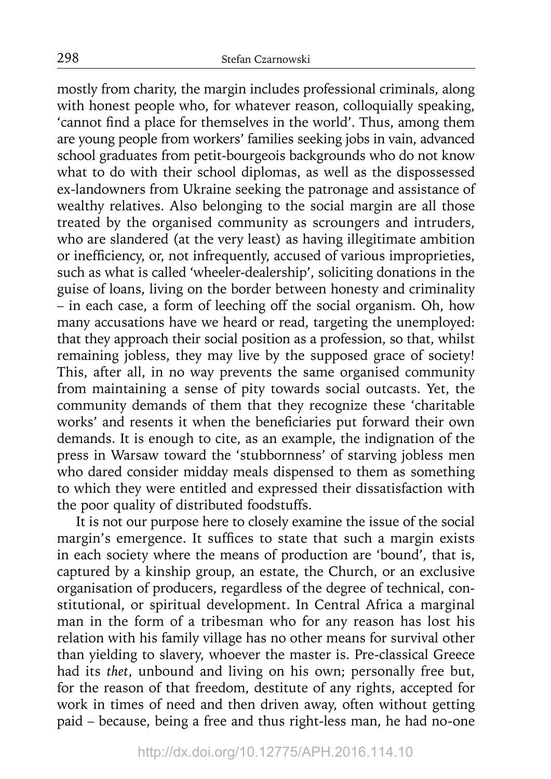mostly from charity, the margin includes professional criminals, along with honest people who, for whatever reason, colloquially speaking, 'cannot find a place for themselves in the world'. Thus, among them are young people from workers' families seeking jobs in vain, advanced school graduates from petit-bourgeois backgrounds who do not know what to do with their school diplomas, as well as the dispossessed ex-landowners from Ukraine seeking the patronage and assistance of wealthy relatives. Also belonging to the social margin are all those treated by the organised community as scroungers and intruders, who are slandered (at the very least) as having illegitimate ambition or inefficiency, or, not infrequently, accused of various improprieties, such as what is called 'wheeler-dealership', soliciting donations in the guise of loans, living on the border between honesty and criminality – in each case, a form of leeching off the social organism. Oh, how many accusations have we heard or read, targeting the unemployed: that they approach their social position as a profession, so that, whilst remaining jobless, they may live by the supposed grace of society! This, after all, in no way prevents the same organised community from maintaining a sense of pity towards social outcasts. Yet, the community demands of them that they recognize these 'charitable works' and resents it when the beneficiaries put forward their own demands. It is enough to cite, as an example, the indignation of the press in Warsaw toward the 'stubbornness' of starving jobless men who dared consider midday meals dispensed to them as something to which they were entitled and expressed their dissatisfaction with the poor quality of distributed foodstuffs.

It is not our purpose here to closely examine the issue of the social margin's emergence. It suffices to state that such a margin exists in each society where the means of production are 'bound', that is, captured by a kinship group, an estate, the Church, or an exclusive organisation of producers, regardless of the degree of technical, constitutional, or spiritual development. In Central Africa a marginal man in the form of a tribesman who for any reason has lost his relation with his family village has no other means for survival other than yielding to slavery, whoever the master is. Pre-classical Greece had its *thet*, unbound and living on his own; personally free but, for the reason of that freedom, destitute of any rights, accepted for work in times of need and then driven away, often without getting paid – because, being a free and thus right-less man, he had no-one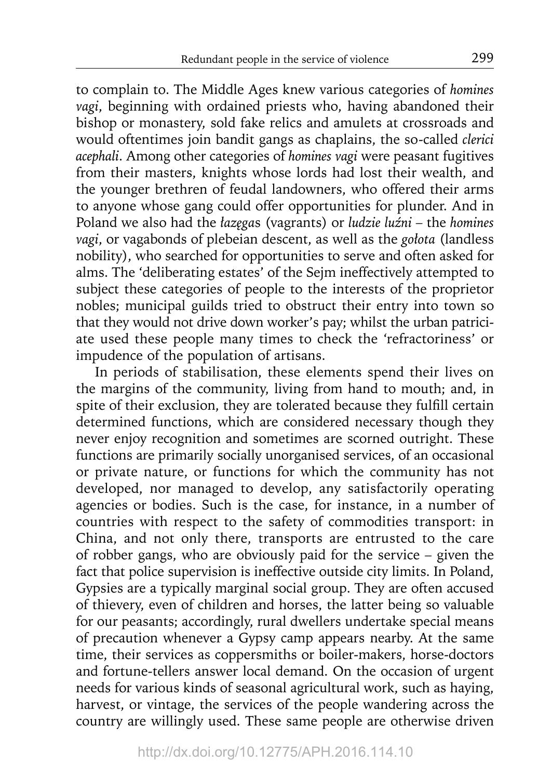to complain to. The Middle Ages knew various categories of *homines vagi*, beginning with ordained priests who, having abandoned their bishop or monastery, sold fake relics and amulets at crossroads and would oftentimes join bandit gangs as chaplains, the so-called *clerici acephali*. Among other categories of *homines vagi* were peasant fugitives from their masters, knights whose lords had lost their wealth, and the younger brethren of feudal landowners, who offered their arms to anyone whose gang could offer opportunities for plunder. And in Poland we also had the *łazęga*s (vagrants) or *ludzie luźni* – the *homines vagi*, or vagabonds of plebeian descent, as well as the *gołota* (landless nobility), who searched for opportunities to serve and often asked for alms. The 'deliberating estates' of the Sejm ineffectively attempted to subject these categories of people to the interests of the proprietor nobles; municipal guilds tried to obstruct their entry into town so that they would not drive down worker's pay; whilst the urban patriciate used these people many times to check the 'refractoriness' or impudence of the population of artisans.

In periods of stabilisation, these elements spend their lives on the margins of the community, living from hand to mouth; and, in spite of their exclusion, they are tolerated because they fulfill certain determined functions, which are considered necessary though they never enjoy recognition and sometimes are scorned outright. These functions are primarily socially unorganised services, of an occasional or private nature, or functions for which the community has not developed, nor managed to develop, any satisfactorily operating agencies or bodies. Such is the case, for instance, in a number of countries with respect to the safety of commodities transport: in China, and not only there, transports are entrusted to the care of robber gangs, who are obviously paid for the service – given the fact that police supervision is ineffective outside city limits. In Poland, Gypsies are a typically marginal social group. They are often accused of thievery, even of children and horses, the latter being so valuable for our peasants; accordingly, rural dwellers undertake special means of precaution whenever a Gypsy camp appears nearby. At the same time, their services as coppersmiths or boiler-makers, horse-doctors and fortune-tellers answer local demand. On the occasion of urgent needs for various kinds of seasonal agricultural work, such as haying, harvest, or vintage, the services of the people wandering across the country are willingly used. These same people are otherwise driven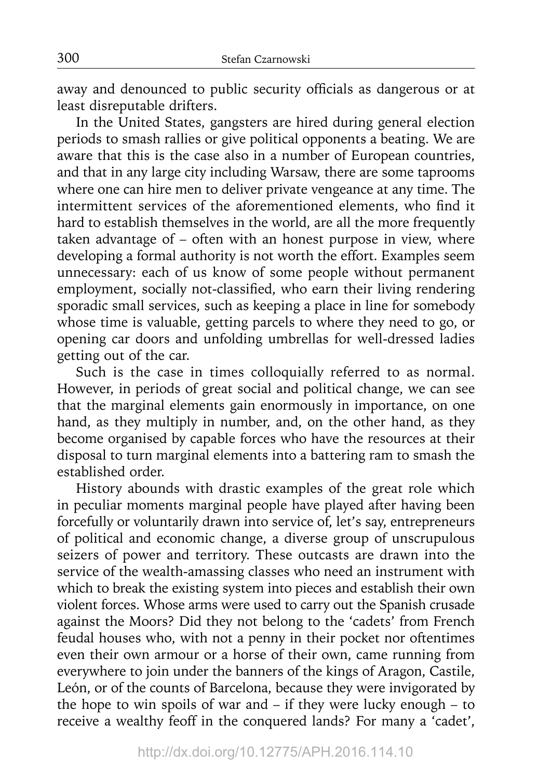away and denounced to public security officials as dangerous or at least disreputable drifters.

In the United States, gangsters are hired during general election periods to smash rallies or give political opponents a beating. We are aware that this is the case also in a number of European countries, and that in any large city including Warsaw, there are some taprooms where one can hire men to deliver private vengeance at any time. The intermittent services of the aforementioned elements, who find it hard to establish themselves in the world, are all the more frequently taken advantage of  $-$  often with an honest purpose in view, where developing a formal authority is not worth the effort. Examples seem unnecessary: each of us know of some people without permanent employment, socially not-classified, who earn their living rendering sporadic small services, such as keeping a place in line for somebody whose time is valuable, getting parcels to where they need to go, or opening car doors and unfolding umbrellas for well-dressed ladies getting out of the car.

Such is the case in times colloquially referred to as normal. However, in periods of great social and political change, we can see that the marginal elements gain enormously in importance, on one hand, as they multiply in number, and, on the other hand, as they become organised by capable forces who have the resources at their disposal to turn marginal elements into a battering ram to smash the established order.

History abounds with drastic examples of the great role which in peculiar moments marginal people have played after having been forcefully or voluntarily drawn into service of, let's say, entrepreneurs of political and economic change, a diverse group of unscrupulous seizers of power and territory. These outcasts are drawn into the service of the wealth-amassing classes who need an instrument with which to break the existing system into pieces and establish their own violent forces. Whose arms were used to carry out the Spanish crusade against the Moors? Did they not belong to the 'cadets' from French feudal houses who, with not a penny in their pocket nor oftentimes even their own armour or a horse of their own, came running from everywhere to join under the banners of the kings of Aragon, Castile, León, or of the counts of Barcelona, because they were invigorated by the hope to win spoils of war and  $-$  if they were lucky enough  $-$  to receive a wealthy feoff in the conquered lands? For many a 'cadet',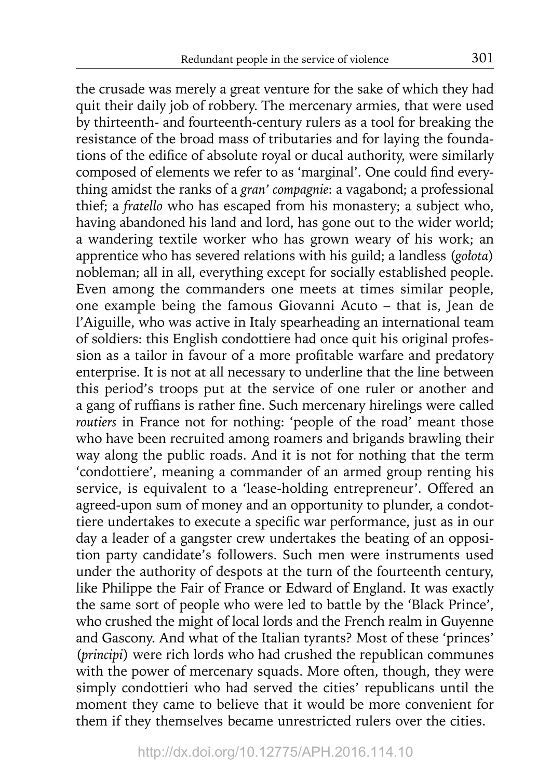the crusade was merely a great venture for the sake of which they had quit their daily job of robbery. The mercenary armies, that were used by thirteenth- and fourteenth-century rulers as a tool for breaking the resistance of the broad mass of tributaries and for laying the foundations of the edifice of absolute royal or ducal authority, were similarly composed of elements we refer to as 'marginal'. One could find everything amidst the ranks of a *gran' compagnie*: a vagabond; a professional thief; a *fratello* who has escaped from his monastery; a subject who, having abandoned his land and lord, has gone out to the wider world; a wandering textile worker who has grown weary of his work; an apprentice who has severed relations with his guild; a landless (*gołota*) nobleman; all in all, everything except for socially established people. Even among the commanders one meets at times similar people, one example being the famous Giovanni Acuto – that is, Jean de l'Aiguille, who was active in Italy spearheading an international team of soldiers: this English condottiere had once quit his original profession as a tailor in favour of a more profitable warfare and predatory enterprise. It is not at all necessary to underline that the line between this period's troops put at the service of one ruler or another and a gang of ruffians is rather fine. Such mercenary hirelings were called *routiers* in France not for nothing: 'people of the road' meant those who have been recruited among roamers and brigands brawling their way along the public roads. And it is not for nothing that the term 'condottiere', meaning a commander of an armed group renting his service, is equivalent to a 'lease-holding entrepreneur'. Offered an agreed-upon sum of money and an opportunity to plunder, a condottiere undertakes to execute a specific war performance, just as in our day a leader of a gangster crew undertakes the beating of an opposition party candidate's followers. Such men were instruments used under the authority of despots at the turn of the fourteenth century, like Philippe the Fair of France or Edward of England. It was exactly the same sort of people who were led to battle by the 'Black Prince', who crushed the might of local lords and the French realm in Guyenne and Gascony. And what of the Italian tyrants? Most of these 'princes' (*principi*) were rich lords who had crushed the republican communes with the power of mercenary squads. More often, though, they were simply condottieri who had served the cities' republicans until the moment they came to believe that it would be more convenient for them if they themselves became unrestricted rulers over the cities.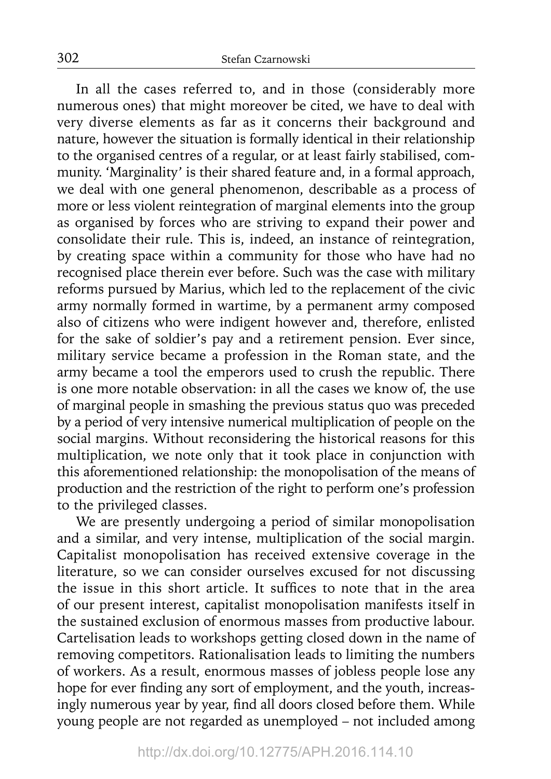In all the cases referred to, and in those (considerably more numerous ones) that might moreover be cited, we have to deal with very diverse elements as far as it concerns their background and nature, however the situation is formally identical in their relationship to the organised centres of a regular, or at least fairly stabilised, community. 'Marginality' is their shared feature and, in a formal approach, we deal with one general phenomenon, describable as a process of more or less violent reintegration of marginal elements into the group as organised by forces who are striving to expand their power and consolidate their rule. This is, indeed, an instance of reintegration, by creating space within a community for those who have had no recognised place therein ever before. Such was the case with military reforms pursued by Marius, which led to the replacement of the civic army normally formed in wartime, by a permanent army composed also of citizens who were indigent however and, therefore, enlisted for the sake of soldier's pay and a retirement pension. Ever since, military service became a profession in the Roman state, and the army became a tool the emperors used to crush the republic. There is one more notable observation: in all the cases we know of, the use of marginal people in smashing the previous status quo was preceded by a period of very intensive numerical multiplication of people on the social margins. Without reconsidering the historical reasons for this multiplication, we note only that it took place in conjunction with this aforementioned relationship: the monopolisation of the means of production and the restriction of the right to perform one's profession to the privileged classes.

We are presently undergoing a period of similar monopolisation and a similar, and very intense, multiplication of the social margin. Capitalist monopolisation has received extensive coverage in the literature, so we can consider ourselves excused for not discussing the issue in this short article. It suffices to note that in the area of our present interest, capitalist monopolisation manifests itself in the sustained exclusion of enormous masses from productive labour. Cartelisation leads to workshops getting closed down in the name of removing competitors. Rationalisation leads to limiting the numbers of workers. As a result, enormous masses of jobless people lose any hope for ever finding any sort of employment, and the youth, increasingly numerous year by year, find all doors closed before them. While young people are not regarded as unemployed – not included among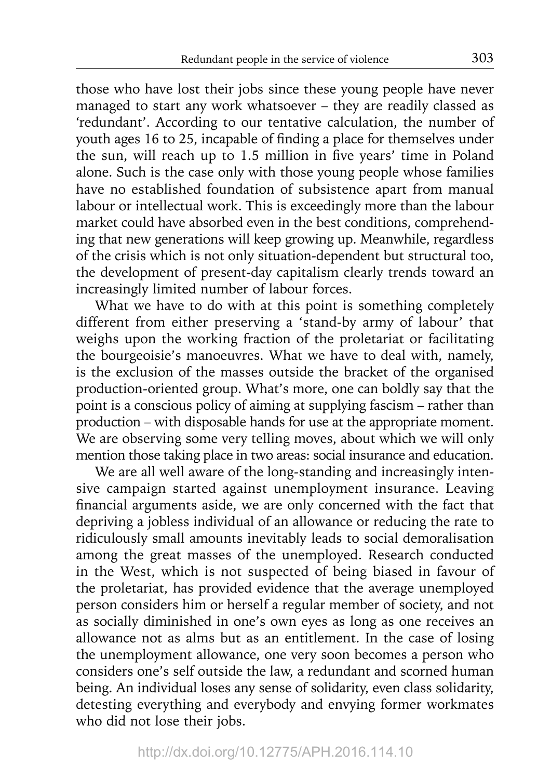those who have lost their jobs since these young people have never managed to start any work whatsoever – they are readily classed as 'redundant'. According to our tentative calculation, the number of youth ages 16 to 25, incapable of finding a place for themselves under the sun, will reach up to 1.5 million in five years' time in Poland alone. Such is the case only with those young people whose families have no established foundation of subsistence apart from manual labour or intellectual work. This is exceedingly more than the labour market could have absorbed even in the best conditions, comprehending that new generations will keep growing up. Meanwhile, regardless of the crisis which is not only situation-dependent but structural too, the development of present-day capitalism clearly trends toward an increasingly limited number of labour forces.

What we have to do with at this point is something completely different from either preserving a 'stand-by army of labour' that weighs upon the working fraction of the proletariat or facilitating the bourgeoisie's manoeuvres. What we have to deal with, namely, is the exclusion of the masses outside the bracket of the organised production-oriented group. What's more, one can boldly say that the point is a conscious policy of aiming at supplying fascism – rather than production – with disposable hands for use at the appropriate moment. We are observing some very telling moves, about which we will only mention those taking place in two areas: social insurance and education.

We are all well aware of the long-standing and increasingly intensive campaign started against unemployment insurance. Leaving financial arguments aside, we are only concerned with the fact that depriving a jobless individual of an allowance or reducing the rate to ridiculously small amounts inevitably leads to social demoralisation among the great masses of the unemployed. Research conducted in the West, which is not suspected of being biased in favour of the proletariat, has provided evidence that the average unemployed person considers him or herself a regular member of society, and not as socially diminished in one's own eyes as long as one receives an allowance not as alms but as an entitlement. In the case of losing the unemployment allowance, one very soon becomes a person who considers one's self outside the law, a redundant and scorned human being. An individual loses any sense of solidarity, even class solidarity, detesting everything and everybody and envying former workmates who did not lose their jobs.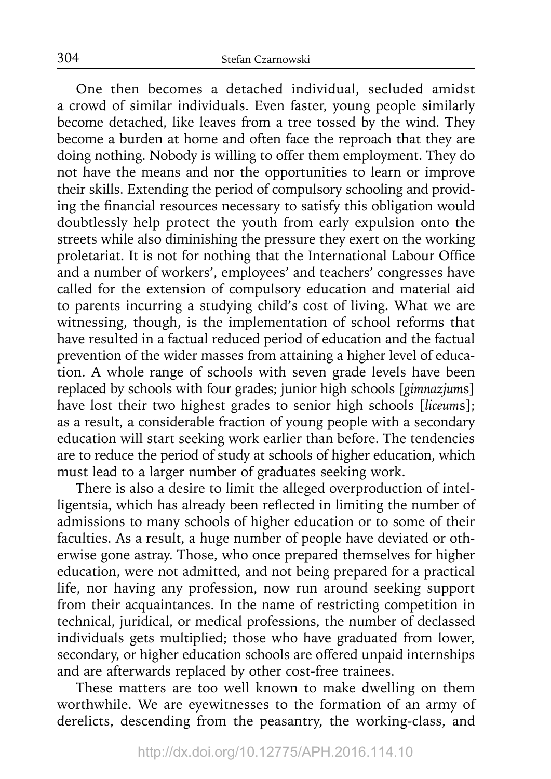One then becomes a detached individual, secluded amidst a crowd of similar individuals. Even faster, young people similarly become detached, like leaves from a tree tossed by the wind. They become a burden at home and often face the reproach that they are doing nothing. Nobody is willing to offer them employment. They do not have the means and nor the opportunities to learn or improve their skills. Extending the period of compulsory schooling and providing the financial resources necessary to satisfy this obligation would doubtlessly help protect the youth from early expulsion onto the streets while also diminishing the pressure they exert on the working proletariat. It is not for nothing that the International Labour Office and a number of workers', employees' and teachers' congresses have called for the extension of compulsory education and material aid to parents incurring a studying child's cost of living. What we are witnessing, though, is the implementation of school reforms that have resulted in a factual reduced period of education and the factual prevention of the wider masses from attaining a higher level of education. A whole range of schools with seven grade levels have been replaced by schools with four grades; junior high schools [*gimnazjum*s] have lost their two highest grades to senior high schools [*liceum*s]; as a result, a considerable fraction of young people with a secondary education will start seeking work earlier than before. The tendencies are to reduce the period of study at schools of higher education, which must lead to a larger number of graduates seeking work.

There is also a desire to limit the alleged overproduction of intelligentsia, which has already been reflected in limiting the number of admissions to many schools of higher education or to some of their faculties. As a result, a huge number of people have deviated or otherwise gone astray. Those, who once prepared themselves for higher education, were not admitted, and not being prepared for a practical life, nor having any profession, now run around seeking support from their acquaintances. In the name of restricting competition in technical, juridical, or medical professions, the number of declassed individuals gets multiplied; those who have graduated from lower, secondary, or higher education schools are offered unpaid internships and are afterwards replaced by other cost-free trainees.

These matters are too well known to make dwelling on them worthwhile. We are eyewitnesses to the formation of an army of derelicts, descending from the peasantry, the working-class, and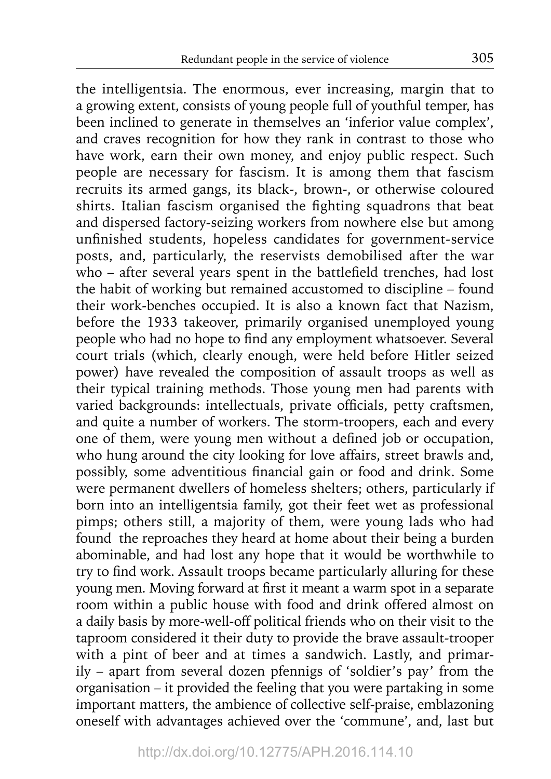the intelligentsia. The enormous, ever increasing, margin that to a growing extent, consists of young people full of youthful temper, has been inclined to generate in themselves an 'inferior value complex', and craves recognition for how they rank in contrast to those who have work, earn their own money, and enjoy public respect. Such people are necessary for fascism. It is among them that fascism recruits its armed gangs, its black-, brown-, or otherwise coloured shirts. Italian fascism organised the fighting squadrons that beat and dispersed factory-seizing workers from nowhere else but among unfinished students, hopeless candidates for government-service posts, and, particularly, the reservists demobilised after the war who – after several years spent in the battlefield trenches, had lost the habit of working but remained accustomed to discipline – found their work-benches occupied. It is also a known fact that Nazism, before the 1933 takeover, primarily organised unemployed young people who had no hope to find any employment whatsoever. Several court trials (which, clearly enough, were held before Hitler seized power) have revealed the composition of assault troops as well as their typical training methods. Those young men had parents with varied backgrounds: intellectuals, private officials, petty craftsmen, and quite a number of workers. The storm-troopers, each and every one of them, were young men without a defined job or occupation, who hung around the city looking for love affairs, street brawls and, possibly, some adventitious financial gain or food and drink. Some were permanent dwellers of homeless shelters; others, particularly if born into an intelligentsia family, got their feet wet as professional pimps; others still, a majority of them, were young lads who had found the reproaches they heard at home about their being a burden abominable, and had lost any hope that it would be worthwhile to try to find work. Assault troops became particularly alluring for these young men. Moving forward at first it meant a warm spot in a separate room within a public house with food and drink offered almost on a daily basis by more-well-off political friends who on their visit to the taproom considered it their duty to provide the brave assault-trooper with a pint of beer and at times a sandwich. Lastly, and primarily – apart from several dozen pfennigs of 'soldier's pay' from the organisation – it provided the feeling that you were partaking in some important matters, the ambience of collective self-praise, emblazoning oneself with advantages achieved over the 'commune', and, last but